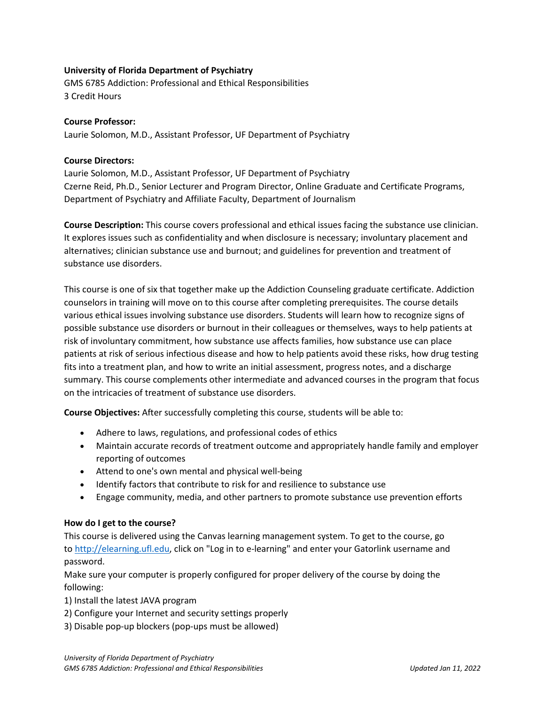## **University of Florida Department of Psychiatry**

GMS 6785 Addiction: Professional and Ethical Responsibilities 3 Credit Hours

## **Course Professor:**

Laurie Solomon, M.D., Assistant Professor, UF Department of Psychiatry

## **Course Directors:**

Laurie Solomon, M.D., Assistant Professor, UF Department of Psychiatry Czerne Reid, Ph.D., Senior Lecturer and Program Director, Online Graduate and Certificate Programs, Department of Psychiatry and Affiliate Faculty, Department of Journalism

**Course Description:** This course covers professional and ethical issues facing the substance use clinician. It explores issues such as confidentiality and when disclosure is necessary; involuntary placement and alternatives; clinician substance use and burnout; and guidelines for prevention and treatment of substance use disorders.

This course is one of six that together make up the Addiction Counseling graduate certificate. Addiction counselors in training will move on to this course after completing prerequisites. The course details various ethical issues involving substance use disorders. Students will learn how to recognize signs of possible substance use disorders or burnout in their colleagues or themselves, ways to help patients at risk of involuntary commitment, how substance use affects families, how substance use can place patients at risk of serious infectious disease and how to help patients avoid these risks, how drug testing fits into a treatment plan, and how to write an initial assessment, progress notes, and a discharge summary. This course complements other intermediate and advanced courses in the program that focus on the intricacies of treatment of substance use disorders.

**Course Objectives:** After successfully completing this course, students will be able to:

- Adhere to laws, regulations, and professional codes of ethics
- Maintain accurate records of treatment outcome and appropriately handle family and employer reporting of outcomes
- Attend to one's own mental and physical well-being
- Identify factors that contribute to risk for and resilience to substance use
- Engage community, media, and other partners to promote substance use prevention efforts

## **How do I get to the course?**

This course is delivered using the Canvas learning management system. To get to the course, go to [http://elearning.ufl.edu,](http://elearning.ufl.edu/) click on "Log in to e-learning" and enter your Gatorlink username and password.

Make sure your computer is properly configured for proper delivery of the course by doing the following:

- 1) Install the latest JAVA program
- 2) Configure your Internet and security settings properly
- 3) Disable pop-up blockers (pop-ups must be allowed)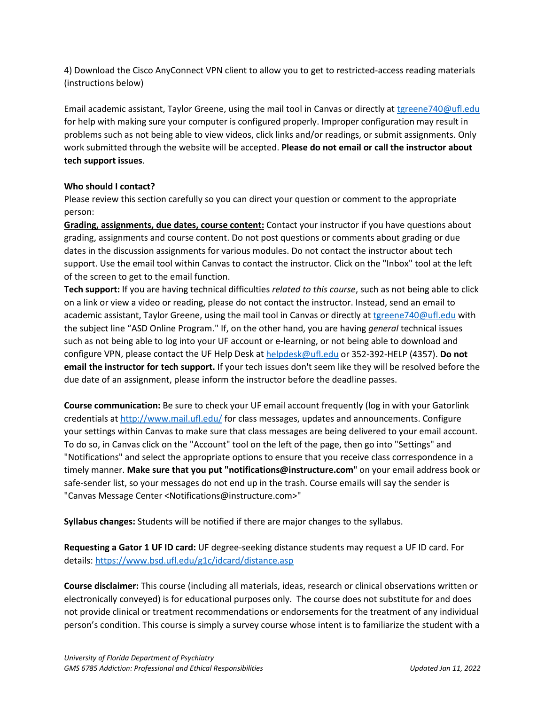4) Download the Cisco AnyConnect VPN client to allow you to get to restricted-access reading materials (instructions below)

Email academic assistant, Taylor Greene, using the mail tool in Canvas or directly at [tgreene740@ufl.edu](mailto:tgreene740@ufl.edu) for help with making sure your computer is configured properly. Improper configuration may result in problems such as not being able to view videos, click links and/or readings, or submit assignments. Only work submitted through the website will be accepted. **Please do not email or call the instructor about tech support issues**.

## **Who should I contact?**

Please review this section carefully so you can direct your question or comment to the appropriate person:

**Grading, assignments, due dates, course content:** Contact your instructor if you have questions about grading, assignments and course content. Do not post questions or comments about grading or due dates in the discussion assignments for various modules. Do not contact the instructor about tech support. Use the email tool within Canvas to contact the instructor. Click on the "Inbox" tool at the left of the screen to get to the email function.

**Tech support:** If you are having technical difficulties *related to this course*, such as not being able to click on a link or view a video or reading, please do not contact the instructor. Instead, send an email to academic assistant, Taylor Greene, using the mail tool in Canvas or directly at [tgreene740@ufl.edu](mailto:tgreene740@ufl.edu) with the subject line "ASD Online Program." If, on the other hand, you are having *general* technical issues such as not being able to log into your UF account or e-learning, or not being able to download and configure VPN, please contact the UF Help Desk at [helpdesk@ufl.edu](mailto:helpdesk@ufl.edu) or 352-392-HELP (4357). **Do not email the instructor for tech support.** If your tech issues don't seem like they will be resolved before the due date of an assignment, please inform the instructor before the deadline passes.

**Course communication:** Be sure to check your UF email account frequently (log in with your Gatorlink credentials at [http://www.mail.ufl.edu/](http://www.mail.ufl.edu/)) for class messages, updates and announcements. Configure your settings within Canvas to make sure that class messages are being delivered to your email account. To do so, in Canvas click on the "Account" tool on the left of the page, then go into "Settings" and "Notifications" and select the appropriate options to ensure that you receive class correspondence in a timely manner. **Make sure that you put "notifications@instructure.com**" on your email address book or safe-sender list, so your messages do not end up in the trash. Course emails will say the sender is "Canvas Message Center <Notifications@instructure.com>"

**Syllabus changes:** Students will be notified if there are major changes to the syllabus.

**Requesting a Gator 1 UF ID card:** UF degree-seeking distance students may request a UF ID card. For details:<https://www.bsd.ufl.edu/g1c/idcard/distance.asp>

**Course disclaimer:** This course (including all materials, ideas, research or clinical observations written or electronically conveyed) is for educational purposes only. The course does not substitute for and does not provide clinical or treatment recommendations or endorsements for the treatment of any individual person's condition. This course is simply a survey course whose intent is to familiarize the student with a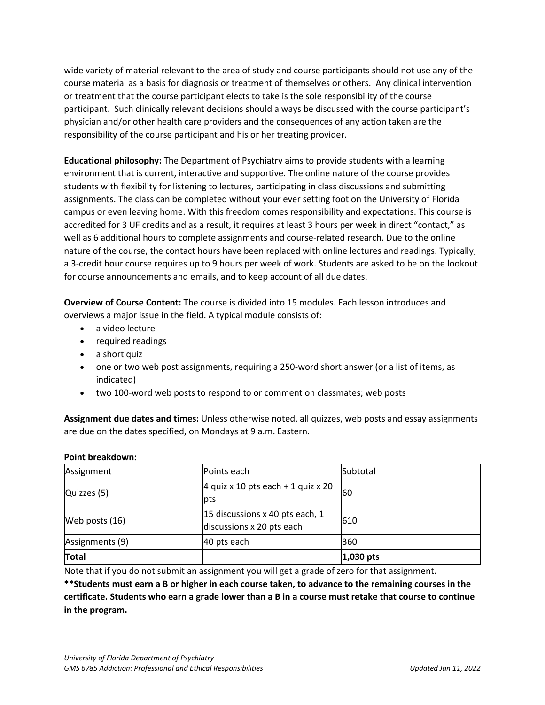wide variety of material relevant to the area of study and course participants should not use any of the course material as a basis for diagnosis or treatment of themselves or others. Any clinical intervention or treatment that the course participant elects to take is the sole responsibility of the course participant. Such clinically relevant decisions should always be discussed with the course participant's physician and/or other health care providers and the consequences of any action taken are the responsibility of the course participant and his or her treating provider.

**Educational philosophy:** The Department of Psychiatry aims to provide students with a learning environment that is current, interactive and supportive. The online nature of the course provides students with flexibility for listening to lectures, participating in class discussions and submitting assignments. The class can be completed without your ever setting foot on the University of Florida campus or even leaving home. With this freedom comes responsibility and expectations. This course is accredited for 3 UF credits and as a result, it requires at least 3 hours per week in direct "contact," as well as 6 additional hours to complete assignments and course-related research. Due to the online nature of the course, the contact hours have been replaced with online lectures and readings. Typically, a 3-credit hour course requires up to 9 hours per week of work. Students are asked to be on the lookout for course announcements and emails, and to keep account of all due dates.

**Overview of Course Content:** The course is divided into 15 modules. Each lesson introduces and overviews a major issue in the field. A typical module consists of:

- a video lecture
- required readings
- a short quiz
- one or two web post assignments, requiring a 250-word short answer (or a list of items, as indicated)
- two 100-word web posts to respond to or comment on classmates; web posts

**Assignment due dates and times:** Unless otherwise noted, all quizzes, web posts and essay assignments are due on the dates specified, on Mondays at 9 a.m. Eastern.

#### **Point breakdown:**

| Assignment      | Points each                                                  | Subtotal      |
|-----------------|--------------------------------------------------------------|---------------|
| Quizzes (5)     | 4 quiz x 10 pts each + 1 quiz x 20<br>pts                    | 60            |
| Web posts (16)  | 15 discussions x 40 pts each, 1<br>discussions x 20 pts each | 610           |
| Assignments (9) | 40 pts each                                                  | 360           |
| <b>Total</b>    |                                                              | $ 1,030 $ pts |

Note that if you do not submit an assignment you will get a grade of zero for that assignment.

**\*\*Students must earn a B or higher in each course taken, to advance to the remaining courses in the certificate. Students who earn a grade lower than a B in a course must retake that course to continue in the program.**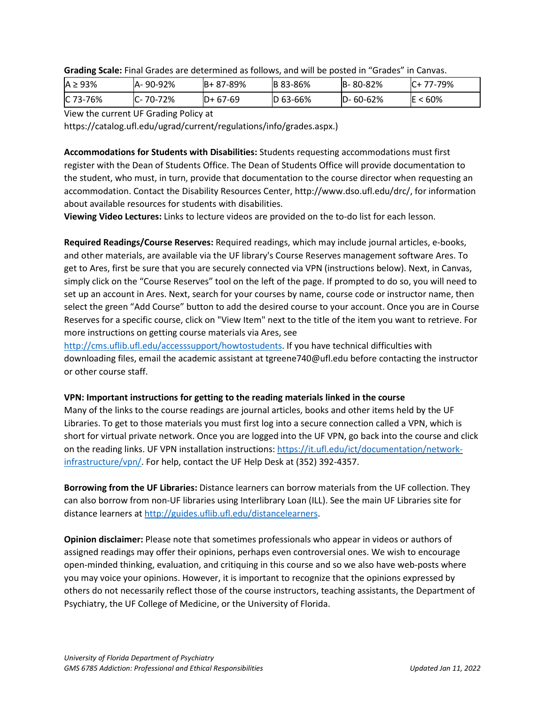| $A \geq 93\%$ | IA-90-92% | B+87-89%  | <b>B</b> 83-86% | B-80-82%       | $IC+ 77-79\%$    |
|---------------|-----------|-----------|-----------------|----------------|------------------|
| C 73-76%      | IC-70-72% | $D+67-69$ | $ D 63 - 66%$   | $D - 60 - 62%$ | $3 < 60\%$<br>ΙE |

**Grading Scale:** Final Grades are determined as follows, and will be posted in "Grades" in Canvas.

View the current UF Grading Policy at

https://catalog.ufl.edu/ugrad/current/regulations/info/grades.aspx.)

**Accommodations for Students with Disabilities:** Students requesting accommodations must first register with the Dean of Students Office. The Dean of Students Office will provide documentation to the student, who must, in turn, provide that documentation to the course director when requesting an accommodation. Contact the Disability Resources Center, http://www.dso.ufl.edu/drc/, for information about available resources for students with disabilities.

**Viewing Video Lectures:** Links to lecture videos are provided on the to-do list for each lesson.

**Required Readings/Course Reserves:** Required readings, which may include journal articles, e-books, and other materials, are available via the UF library's Course Reserves management software Ares. To get to Ares, first be sure that you are securely connected via VPN (instructions below). Next, in Canvas, simply click on the "Course Reserves" tool on the left of the page. If prompted to do so, you will need to set up an account in Ares. Next, search for your courses by name, course code or instructor name, then select the green "Add Course" button to add the desired course to your account. Once you are in Course Reserves for a specific course, click on "View Item" next to the title of the item you want to retrieve. For more instructions on getting course materials via Ares, see

[http://cms.uflib.ufl.edu/accesssupport/howtostudents.](http://cms.uflib.ufl.edu/accesssupport/howtostudents) If you have technical difficulties with downloading files, email the academic assistant at tgreene740@ufl.edu before contacting the instructor or other course staff.

## **VPN: Important instructions for getting to the reading materials linked in the course**

Many of the links to the course readings are journal articles, books and other items held by the UF Libraries. To get to those materials you must first log into a secure connection called a VPN, which is short for virtual private network. Once you are logged into the UF VPN, go back into the course and click on the reading links. UF VPN installation instructions[: https://it.ufl.edu/ict/documentation/network](https://it.ufl.edu/ict/documentation/network-infrastructure/vpn/)[infrastructure/vpn/.](https://it.ufl.edu/ict/documentation/network-infrastructure/vpn/) For help, contact the UF Help Desk at (352) 392-4357.

**Borrowing from the UF Libraries:** Distance learners can borrow materials from the UF collection. They can also borrow from non-UF libraries using Interlibrary Loan (ILL). See the main UF Libraries site for distance learners at [http://guides.uflib.ufl.edu/distancelearners.](http://guides.uflib.ufl.edu/distancelearners)

**Opinion disclaimer:** Please note that sometimes professionals who appear in videos or authors of assigned readings may offer their opinions, perhaps even controversial ones. We wish to encourage open-minded thinking, evaluation, and critiquing in this course and so we also have web-posts where you may voice your opinions. However, it is important to recognize that the opinions expressed by others do not necessarily reflect those of the course instructors, teaching assistants, the Department of Psychiatry, the UF College of Medicine, or the University of Florida.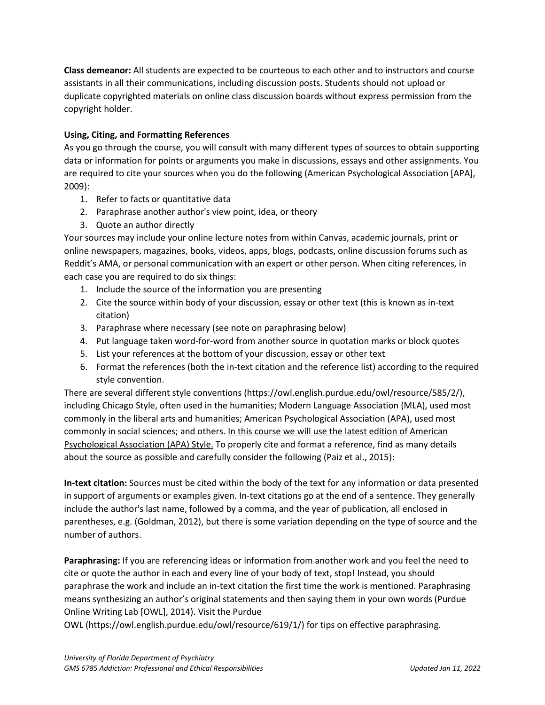**Class demeanor:** All students are expected to be courteous to each other and to instructors and course assistants in all their communications, including discussion posts. Students should not upload or duplicate copyrighted materials on online class discussion boards without express permission from the copyright holder.

# **Using, Citing, and Formatting References**

As you go through the course, you will consult with many different types of sources to obtain supporting data or information for points or arguments you make in discussions, essays and other assignments. You are required to cite your sources when you do the following (American Psychological Association [APA], 2009):

- 1. Refer to facts or quantitative data
- 2. Paraphrase another author's view point, idea, or theory
- 3. Quote an author directly

Your sources may include your online lecture notes from within Canvas, academic journals, print or online newspapers, magazines, books, videos, apps, blogs, podcasts, online discussion forums such as Reddit's AMA, or personal communication with an expert or other person. When citing references, in each case you are required to do six things:

- 1. Include the source of the information you are presenting
- 2. Cite the source within body of your discussion, essay or other text (this is known as in-text citation)
- 3. Paraphrase where necessary (see note on paraphrasing below)
- 4. Put language taken word-for-word from another source in quotation marks or block quotes
- 5. List your references at the bottom of your discussion, essay or other text
- 6. Format the references (both the in-text citation and the reference list) according to the required style convention.

There are several different style conventions (https://owl.english.purdue.edu/owl/resource/585/2/), including Chicago Style, often used in the humanities; Modern Language Association (MLA), used most commonly in the liberal arts and humanities; American Psychological Association (APA), used most commonly in social sciences; and others. In this course we will use the latest edition of American Psychological Association (APA) Style. To properly cite and format a reference, find as many details about the source as possible and carefully consider the following (Paiz et al., 2015):

**In-text citation:** Sources must be cited within the body of the text for any information or data presented in support of arguments or examples given. In-text citations go at the end of a sentence. They generally include the author's last name, followed by a comma, and the year of publication, all enclosed in parentheses, e.g. (Goldman, 2012), but there is some variation depending on the type of source and the number of authors.

**Paraphrasing:** If you are referencing ideas or information from another work and you feel the need to cite or quote the author in each and every line of your body of text, stop! Instead, you should paraphrase the work and include an in-text citation the first time the work is mentioned. Paraphrasing means synthesizing an author's original statements and then saying them in your own words (Purdue Online Writing Lab [OWL], 2014). Visit the Purdue

OWL (https://owl.english.purdue.edu/owl/resource/619/1/) for tips on effective paraphrasing.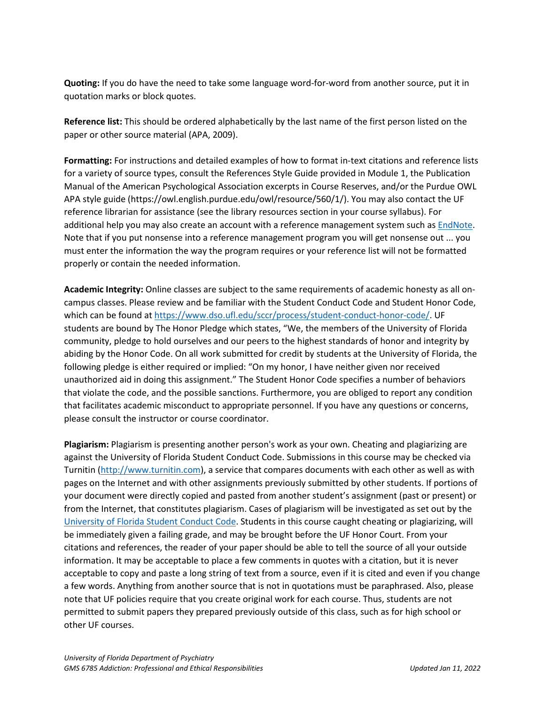**Quoting:** If you do have the need to take some language word-for-word from another source, put it in quotation marks or block quotes.

**Reference list:** This should be ordered alphabetically by the last name of the first person listed on the paper or other source material (APA, 2009).

**Formatting:** For instructions and detailed examples of how to format in-text citations and reference lists for a variety of source types, consult the References Style Guide provided in Module 1, the Publication Manual of the American Psychological Association excerpts in Course Reserves, and/or the Purdue OWL APA style guide (https://owl.english.purdue.edu/owl/resource/560/1/). You may also contact the UF reference librarian for assistance (see the library resources section in your course syllabus). For additional help you may also create an account with a reference management system such as [EndNote.](https://guides.uflib.ufl.edu/endnote) Note that if you put nonsense into a reference management program you will get nonsense out ... you must enter the information the way the program requires or your reference list will not be formatted properly or contain the needed information.

**Academic Integrity:** Online classes are subject to the same requirements of academic honesty as all oncampus classes. Please review and be familiar with the Student Conduct Code and Student Honor Code, which can be found a[t https://www.dso.ufl.edu/sccr/process/student-conduct-honor-code/.](https://www.dso.ufl.edu/sccr/process/student-conduct-honor-code/) UF students are bound by The Honor Pledge which states, "We, the members of the University of Florida community, pledge to hold ourselves and our peers to the highest standards of honor and integrity by abiding by the Honor Code. On all work submitted for credit by students at the University of Florida, the following pledge is either required or implied: "On my honor, I have neither given nor received unauthorized aid in doing this assignment." The Student Honor Code specifies a number of behaviors that violate the code, and the possible sanctions. Furthermore, you are obliged to report any condition that facilitates academic misconduct to appropriate personnel. If you have any questions or concerns, please consult the instructor or course coordinator.

**Plagiarism:** Plagiarism is presenting another person's work as your own. Cheating and plagiarizing are against the University of Florida Student Conduct Code. Submissions in this course may be checked via Turnitin [\(http://www.turnitin.com\)](http://www.turnitin.com/), a service that compares documents with each other as well as with pages on the Internet and with other assignments previously submitted by other students. If portions of your document were directly copied and pasted from another student's assignment (past or present) or from the Internet, that constitutes plagiarism. Cases of plagiarism will be investigated as set out by the [University of Florida Student Conduct Code.](https://sccr.dso.ufl.edu/) Students in this course caught cheating or plagiarizing, will be immediately given a failing grade, and may be brought before the UF Honor Court. From your citations and references, the reader of your paper should be able to tell the source of all your outside information. It may be acceptable to place a few comments in quotes with a citation, but it is never acceptable to copy and paste a long string of text from a source, even if it is cited and even if you change a few words. Anything from another source that is not in quotations must be paraphrased. Also, please note that UF policies require that you create original work for each course. Thus, students are not permitted to submit papers they prepared previously outside of this class, such as for high school or other UF courses.